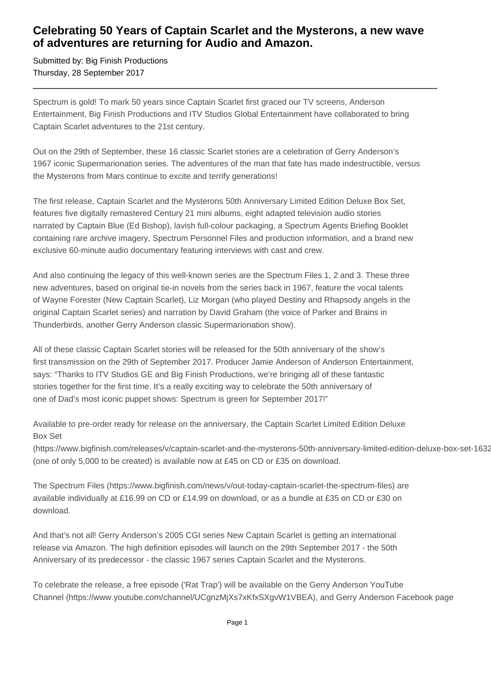## **Celebrating 50 Years of Captain Scarlet and the Mysterons, a new wave of adventures are returning for Audio and Amazon.**

Submitted by: Big Finish Productions Thursday, 28 September 2017

Spectrum is gold! To mark 50 years since Captain Scarlet first graced our TV screens, Anderson Entertainment, Big Finish Productions and ITV Studios Global Entertainment have collaborated to bring Captain Scarlet adventures to the 21st century.

Out on the 29th of September, these 16 classic Scarlet stories are a celebration of Gerry Anderson's 1967 iconic Supermarionation series. The adventures of the man that fate has made indestructible, versus the Mysterons from Mars continue to excite and terrify generations!

The first release, Captain Scarlet and the Mysterons 50th Anniversary Limited Edition Deluxe Box Set, features five digitally remastered Century 21 mini albums, eight adapted television audio stories narrated by Captain Blue (Ed Bishop), lavish full-colour packaging, a Spectrum Agents Briefing Booklet containing rare archive imagery, Spectrum Personnel Files and production information, and a brand new exclusive 60-minute audio documentary featuring interviews with cast and crew.

And also continuing the legacy of this well-known series are the Spectrum Files 1, 2 and 3. These three new adventures, based on original tie-in novels from the series back in 1967, feature the vocal talents of Wayne Forester (New Captain Scarlet), Liz Morgan (who played Destiny and Rhapsody angels in the original Captain Scarlet series) and narration by David Graham (the voice of Parker and Brains in Thunderbirds, another Gerry Anderson classic Supermarionation show).

All of these classic Captain Scarlet stories will be released for the 50th anniversary of the show's first transmission on the 29th of September 2017. Producer Jamie Anderson of Anderson Entertainment, says: "Thanks to ITV Studios GE and Big Finish Productions, we're bringing all of these fantastic stories together for the first time. It's a really exciting way to celebrate the 50th anniversary of one of Dad's most iconic puppet shows: Spectrum is green for September 2017!"

Available to pre-order ready for release on the anniversary, the Captain Scarlet Limited Edition Deluxe Box Set

(https://www.bigfinish.com/releases/v/captain-scarlet-and-the-mysterons-50th-anniversary-limited-edition-deluxe-box-set-1632) (one of only 5,000 to be created) is available now at £45 on CD or £35 on download.

The Spectrum Files (https://www.bigfinish.com/news/v/out-today-captain-scarlet-the-spectrum-files) are available individually at £16.99 on CD or £14.99 on download, or as a bundle at £35 on CD or £30 on download.

And that's not all! Gerry Anderson's 2005 CGI series New Captain Scarlet is getting an international release via Amazon. The high definition episodes will launch on the 29th September 2017 - the 50th Anniversary of its predecessor - the classic 1967 series Captain Scarlet and the Mysterons.

To celebrate the release, a free episode ('Rat Trap') will be available on the Gerry Anderson YouTube Channel (https://www.youtube.com/channel/UCgnzMjXs7xKfxSXgvW1VBEA), and Gerry Anderson Facebook page